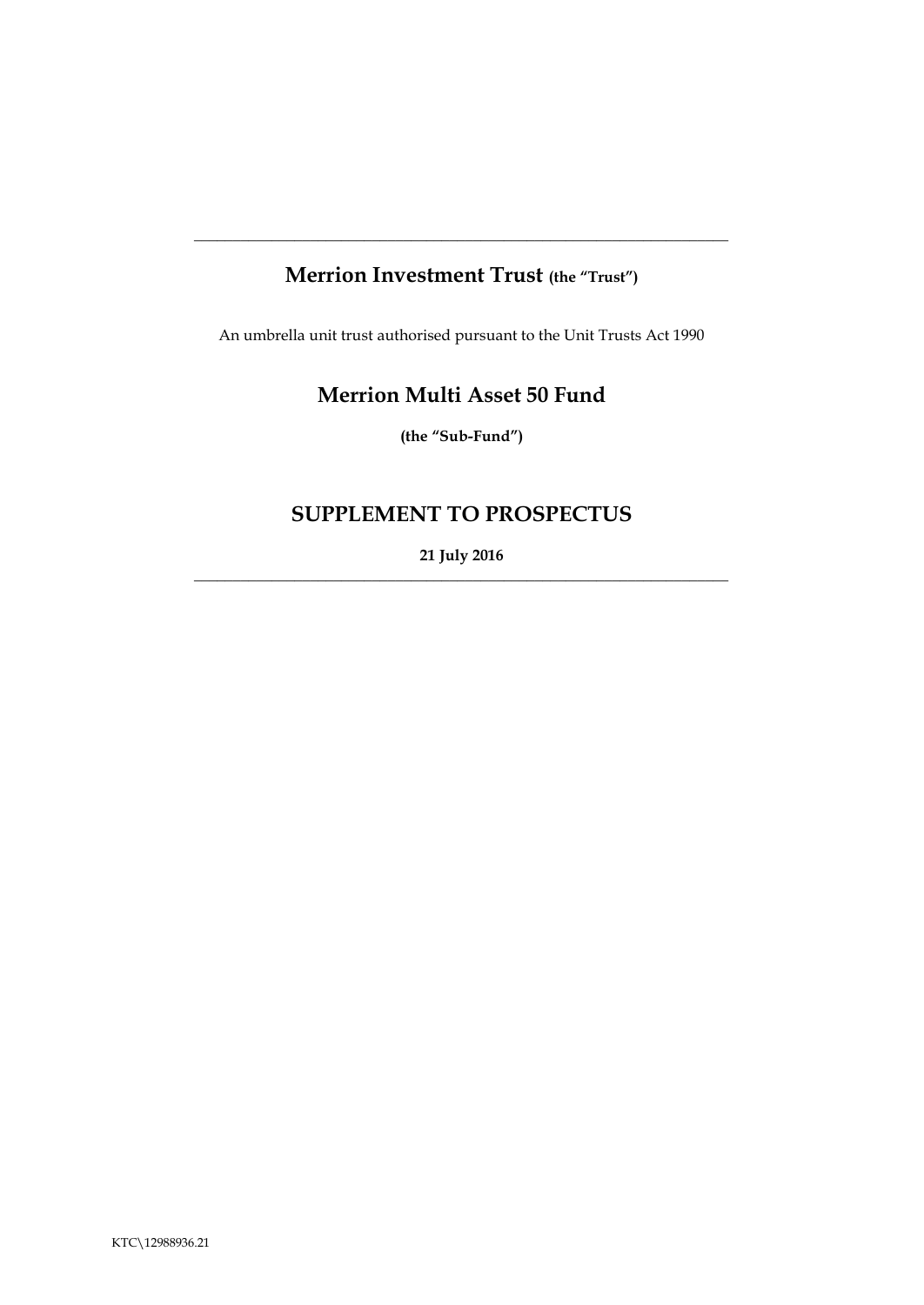# **Merrion Investment Trust (the "Trust")**

**\_\_\_\_\_\_\_\_\_\_\_\_\_\_\_\_\_\_\_\_\_\_\_\_\_\_\_\_\_\_\_\_\_\_\_\_\_\_\_\_\_\_\_\_\_\_\_\_\_\_\_\_\_\_\_\_\_\_\_\_\_\_\_\_\_\_\_\_\_**

An umbrella unit trust authorised pursuant to the Unit Trusts Act 1990

# **Merrion Multi Asset 50 Fund**

**(the "Sub-Fund")**

# **SUPPLEMENT TO PROSPECTUS**

**21 July 2016**  $\_$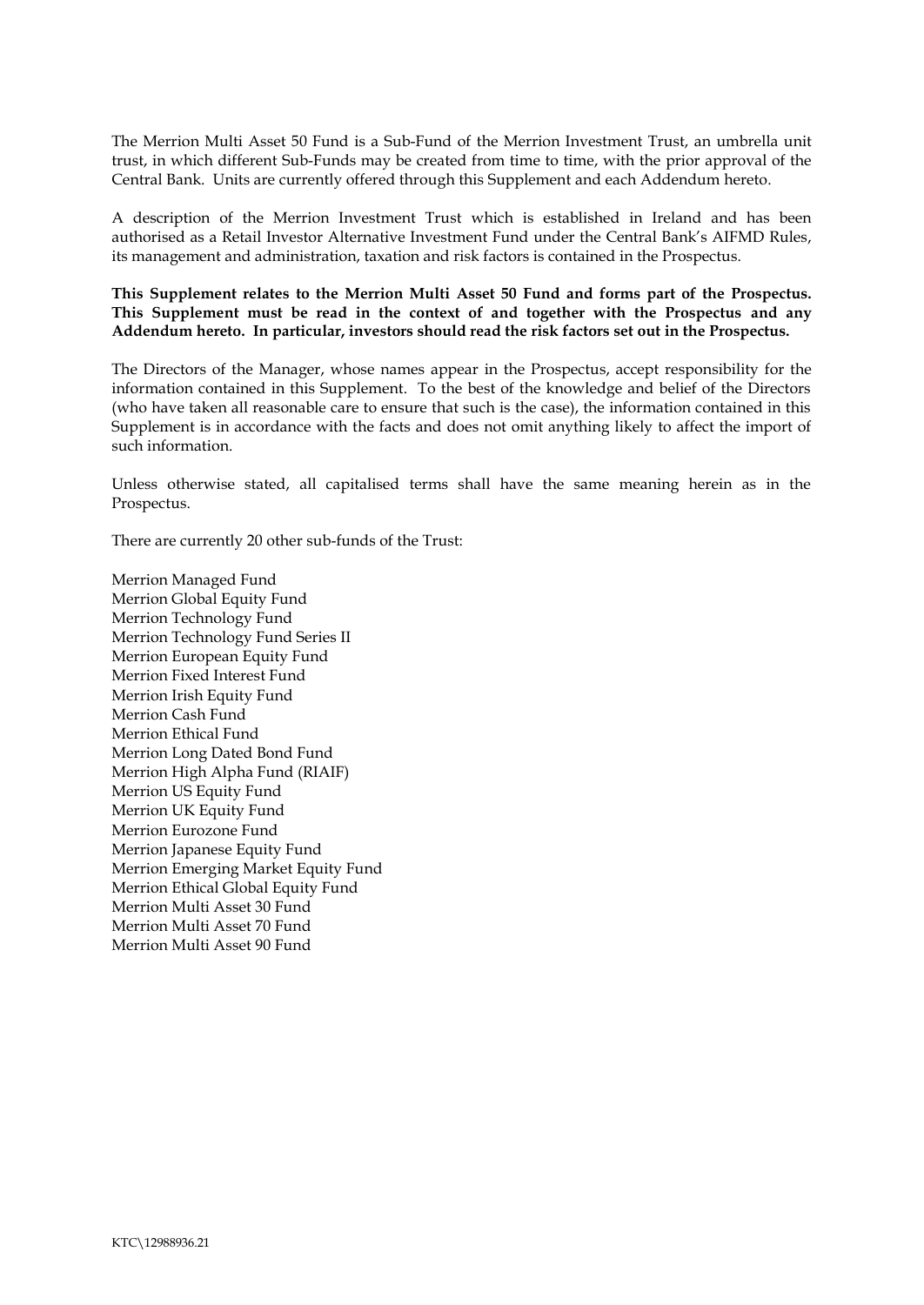The Merrion Multi Asset 50 Fund is a Sub-Fund of the Merrion Investment Trust, an umbrella unit trust, in which different Sub-Funds may be created from time to time, with the prior approval of the Central Bank. Units are currently offered through this Supplement and each Addendum hereto.

A description of the Merrion Investment Trust which is established in Ireland and has been authorised as a Retail Investor Alternative Investment Fund under the Central Bank's AIFMD Rules, its management and administration, taxation and risk factors is contained in the Prospectus.

**This Supplement relates to the Merrion Multi Asset 50 Fund and forms part of the Prospectus. This Supplement must be read in the context of and together with the Prospectus and any Addendum hereto. In particular, investors should read the risk factors set out in the Prospectus.** 

The Directors of the Manager, whose names appear in the Prospectus, accept responsibility for the information contained in this Supplement. To the best of the knowledge and belief of the Directors (who have taken all reasonable care to ensure that such is the case), the information contained in this Supplement is in accordance with the facts and does not omit anything likely to affect the import of such information.

Unless otherwise stated, all capitalised terms shall have the same meaning herein as in the Prospectus.

There are currently 20 other sub-funds of the Trust:

Merrion Managed Fund Merrion Global Equity Fund Merrion Technology Fund Merrion Technology Fund Series II Merrion European Equity Fund Merrion Fixed Interest Fund Merrion Irish Equity Fund Merrion Cash Fund Merrion Ethical Fund Merrion Long Dated Bond Fund Merrion High Alpha Fund (RIAIF) Merrion US Equity Fund Merrion UK Equity Fund Merrion Eurozone Fund Merrion Japanese Equity Fund Merrion Emerging Market Equity Fund Merrion Ethical Global Equity Fund Merrion Multi Asset 30 Fund Merrion Multi Asset 70 Fund Merrion Multi Asset 90 Fund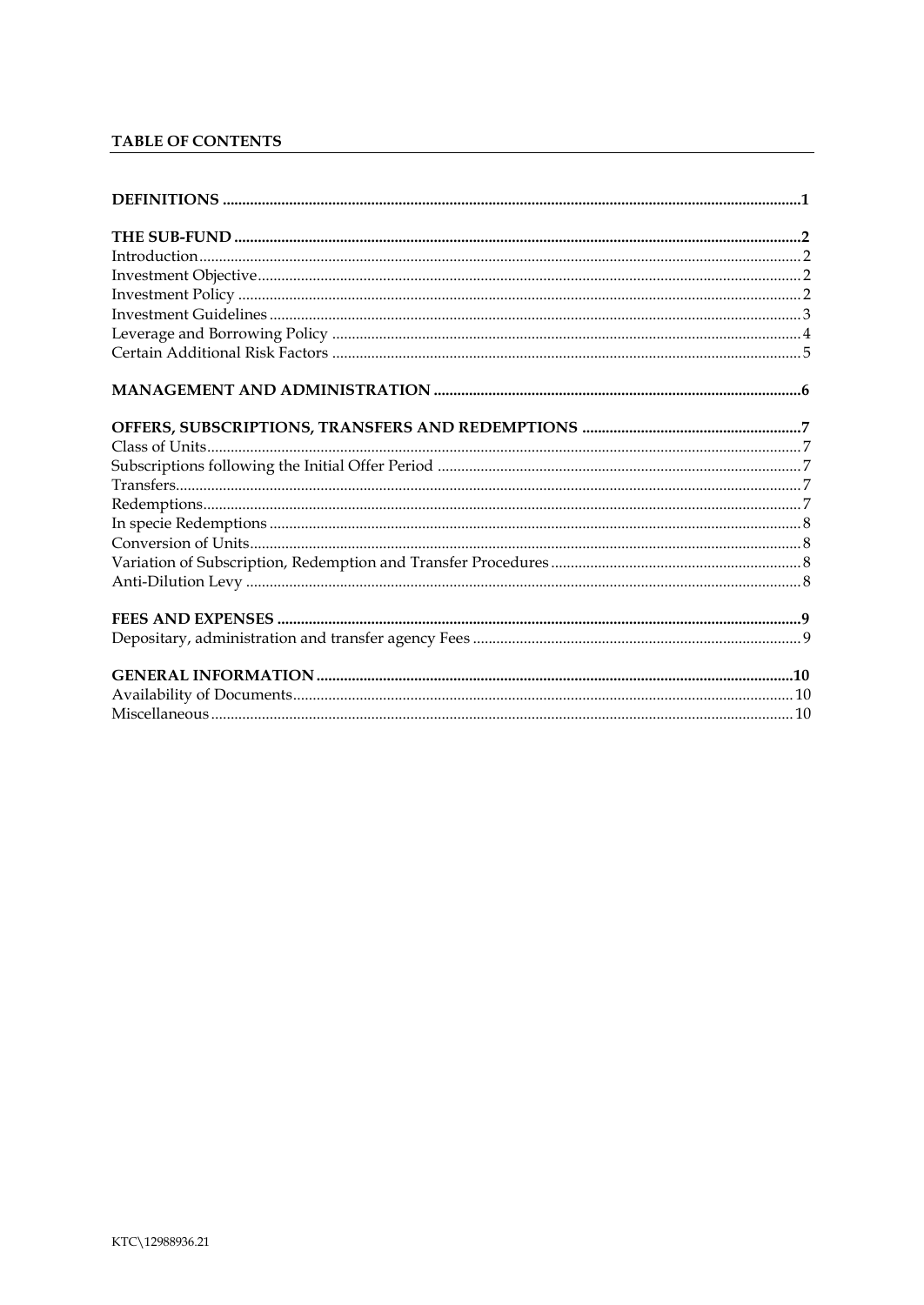# TABLE OF CONTENTS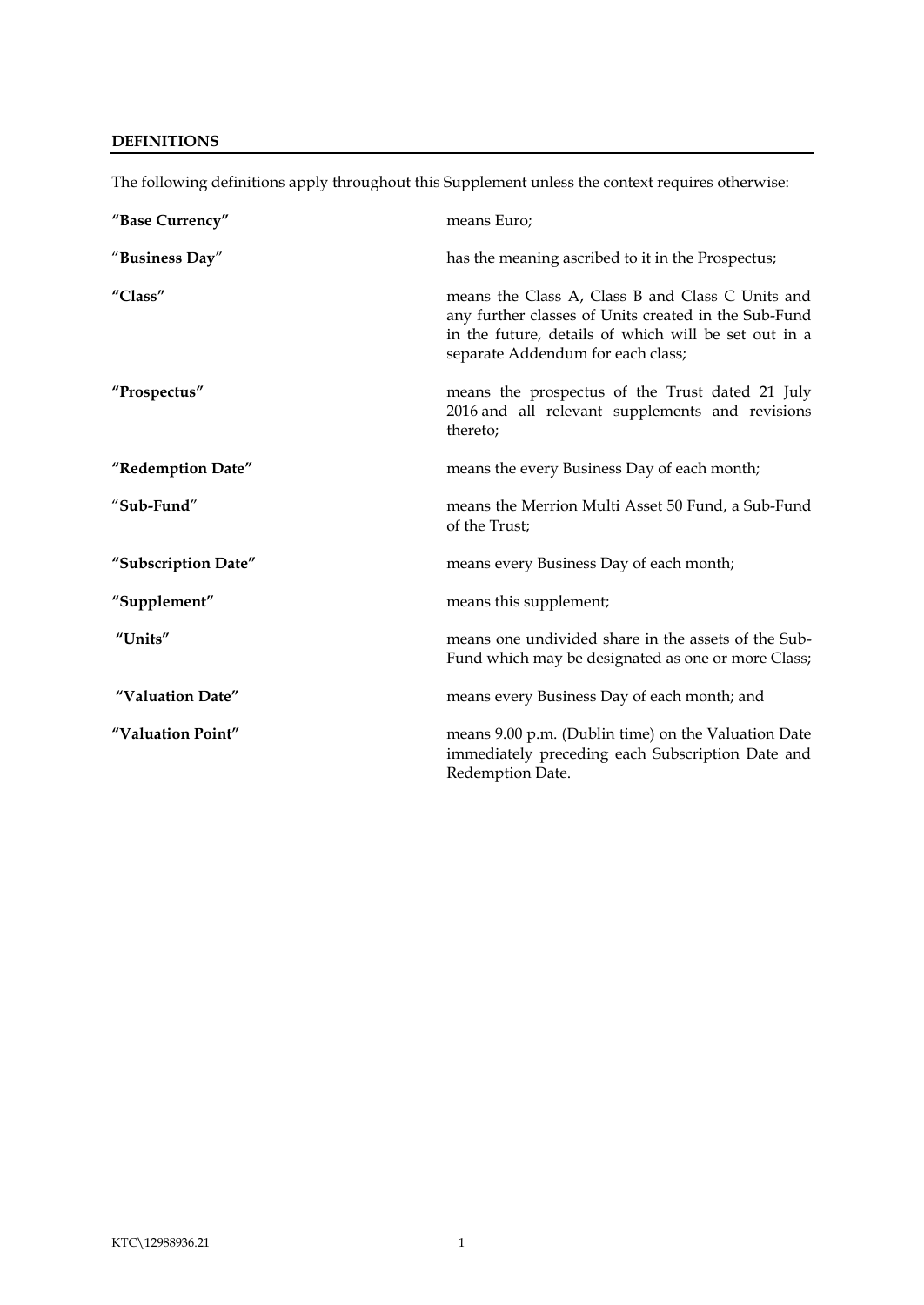# <span id="page-3-0"></span>**DEFINITIONS**

| "Base Currency"     | means Euro;                                                                                                                                                                                           |
|---------------------|-------------------------------------------------------------------------------------------------------------------------------------------------------------------------------------------------------|
| "Business Day"      | has the meaning ascribed to it in the Prospectus;                                                                                                                                                     |
| "Class"             | means the Class A, Class B and Class C Units and<br>any further classes of Units created in the Sub-Fund<br>in the future, details of which will be set out in a<br>separate Addendum for each class; |
| "Prospectus"        | means the prospectus of the Trust dated 21 July<br>2016 and all relevant supplements and revisions<br>thereto;                                                                                        |
| "Redemption Date"   | means the every Business Day of each month;                                                                                                                                                           |
| "Sub-Fund"          | means the Merrion Multi Asset 50 Fund, a Sub-Fund<br>of the Trust;                                                                                                                                    |
| "Subscription Date" | means every Business Day of each month;                                                                                                                                                               |
| "Supplement"        | means this supplement;                                                                                                                                                                                |
| "Units"             | means one undivided share in the assets of the Sub-<br>Fund which may be designated as one or more Class;                                                                                             |
| "Valuation Date"    | means every Business Day of each month; and                                                                                                                                                           |
| "Valuation Point"   | means 9.00 p.m. (Dublin time) on the Valuation Date<br>immediately preceding each Subscription Date and<br>Redemption Date.                                                                           |

The following definitions apply throughout this Supplement unless the context requires otherwise: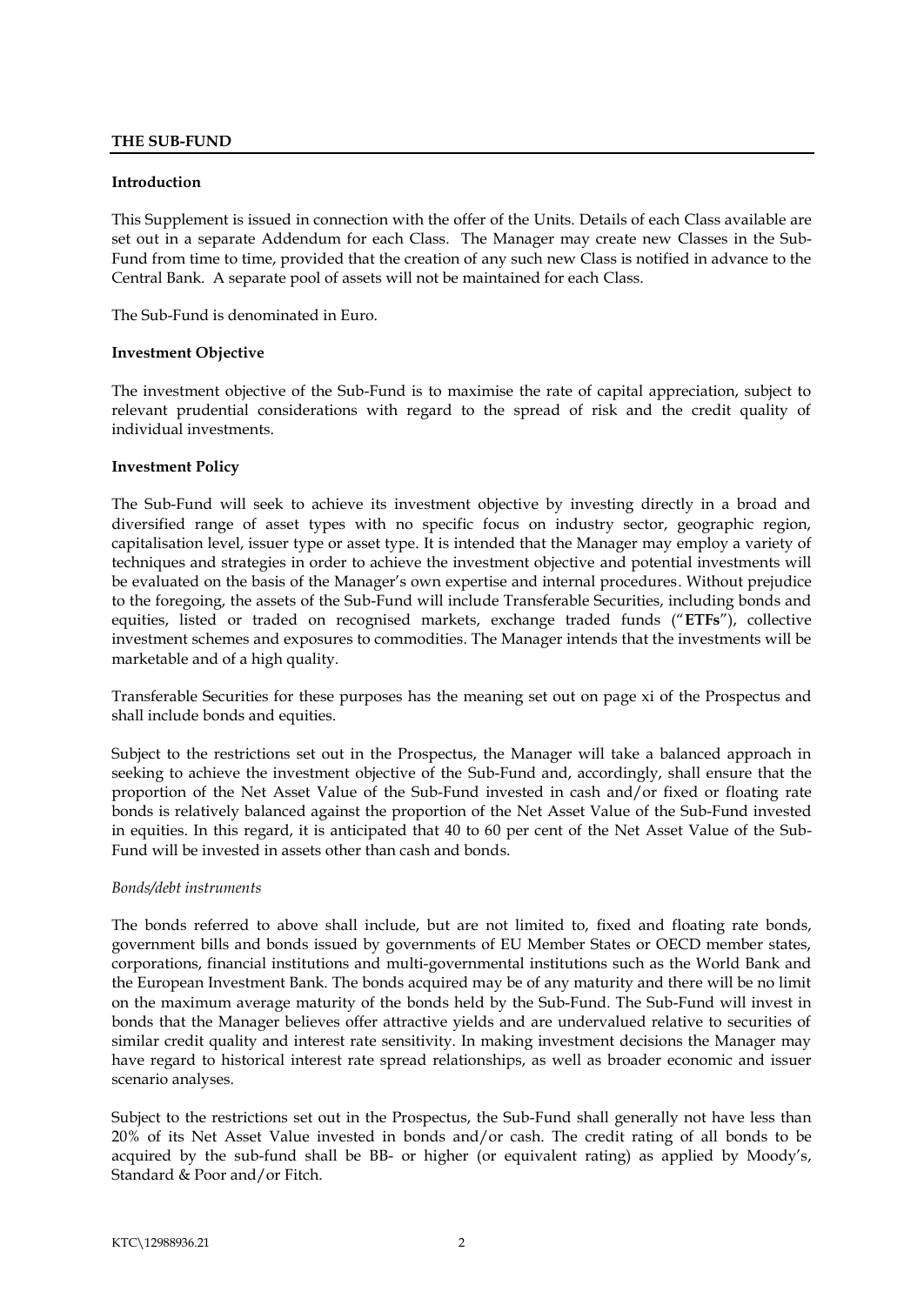# <span id="page-4-0"></span>**THE SUB-FUND**

#### <span id="page-4-1"></span>**Introduction**

This Supplement is issued in connection with the offer of the Units. Details of each Class available are set out in a separate Addendum for each Class. The Manager may create new Classes in the Sub-Fund from time to time, provided that the creation of any such new Class is notified in advance to the Central Bank. A separate pool of assets will not be maintained for each Class.

The Sub-Fund is denominated in Euro.

#### <span id="page-4-2"></span>**Investment Objective**

The investment objective of the Sub-Fund is to maximise the rate of capital appreciation, subject to relevant prudential considerations with regard to the spread of risk and the credit quality of individual investments.

#### <span id="page-4-3"></span>**Investment Policy**

The Sub-Fund will seek to achieve its investment objective by investing directly in a broad and diversified range of asset types with no specific focus on industry sector, geographic region, capitalisation level, issuer type or asset type. It is intended that the Manager may employ a variety of techniques and strategies in order to achieve the investment objective and potential investments will be evaluated on the basis of the Manager's own expertise and internal procedures. Without prejudice to the foregoing, the assets of the Sub-Fund will include Transferable Securities, including bonds and equities, listed or traded on recognised markets, exchange traded funds ("**ETFs**"), collective investment schemes and exposures to commodities. The Manager intends that the investments will be marketable and of a high quality.

Transferable Securities for these purposes has the meaning set out on page xi of the Prospectus and shall include bonds and equities.

Subject to the restrictions set out in the Prospectus, the Manager will take a balanced approach in seeking to achieve the investment objective of the Sub-Fund and, accordingly, shall ensure that the proportion of the Net Asset Value of the Sub-Fund invested in cash and/or fixed or floating rate bonds is relatively balanced against the proportion of the Net Asset Value of the Sub-Fund invested in equities. In this regard, it is anticipated that 40 to 60 per cent of the Net Asset Value of the Sub-Fund will be invested in assets other than cash and bonds.

#### *Bonds/debt instruments*

The bonds referred to above shall include, but are not limited to, fixed and floating rate bonds, government bills and bonds issued by governments of EU Member States or OECD member states, corporations, financial institutions and multi-governmental institutions such as the World Bank and the European Investment Bank. The bonds acquired may be of any maturity and there will be no limit on the maximum average maturity of the bonds held by the Sub-Fund. The Sub-Fund will invest in bonds that the Manager believes offer attractive yields and are undervalued relative to securities of similar credit quality and interest rate sensitivity. In making investment decisions the Manager may have regard to historical interest rate spread relationships, as well as broader economic and issuer scenario analyses.

Subject to the restrictions set out in the Prospectus, the Sub-Fund shall generally not have less than 20% of its Net Asset Value invested in bonds and/or cash. The credit rating of all bonds to be acquired by the sub-fund shall be BB- or higher (or equivalent rating) as applied by Moody's, Standard & Poor and/or Fitch.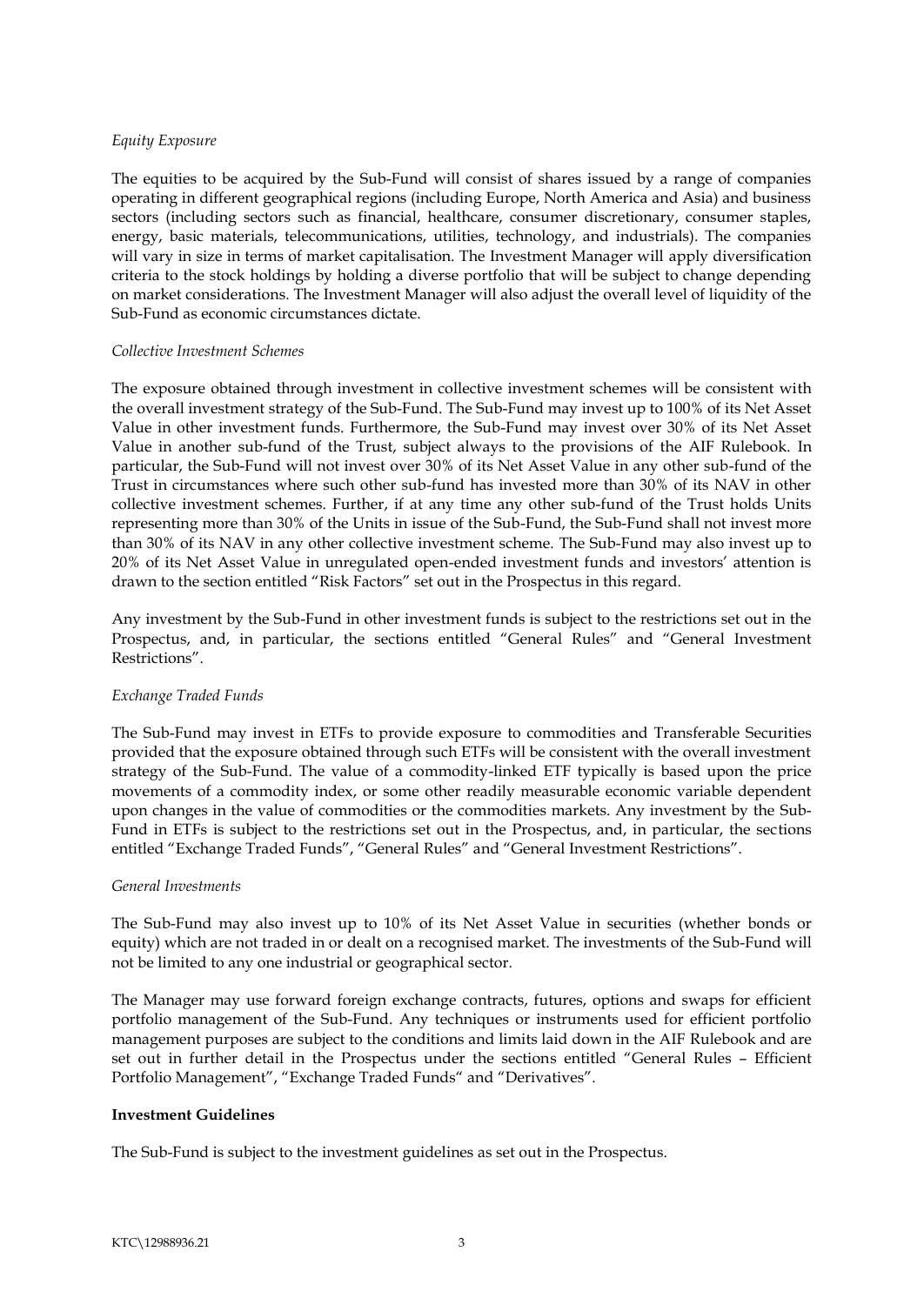# *Equity Exposure*

The equities to be acquired by the Sub-Fund will consist of shares issued by a range of companies operating in different geographical regions (including Europe, North America and Asia) and business sectors (including sectors such as financial, healthcare, consumer discretionary, consumer staples, energy, basic materials, telecommunications, utilities, technology, and industrials). The companies will vary in size in terms of market capitalisation. The Investment Manager will apply diversification criteria to the stock holdings by holding a diverse portfolio that will be subject to change depending on market considerations. The Investment Manager will also adjust the overall level of liquidity of the Sub-Fund as economic circumstances dictate.

#### *Collective Investment Schemes*

The exposure obtained through investment in collective investment schemes will be consistent with the overall investment strategy of the Sub-Fund. The Sub-Fund may invest up to 100% of its Net Asset Value in other investment funds. Furthermore, the Sub-Fund may invest over 30% of its Net Asset Value in another sub-fund of the Trust, subject always to the provisions of the AIF Rulebook. In particular, the Sub-Fund will not invest over 30% of its Net Asset Value in any other sub-fund of the Trust in circumstances where such other sub-fund has invested more than 30% of its NAV in other collective investment schemes. Further, if at any time any other sub-fund of the Trust holds Units representing more than 30% of the Units in issue of the Sub-Fund, the Sub-Fund shall not invest more than 30% of its NAV in any other collective investment scheme. The Sub-Fund may also invest up to 20% of its Net Asset Value in unregulated open-ended investment funds and investors' attention is drawn to the section entitled "Risk Factors" set out in the Prospectus in this regard.

Any investment by the Sub-Fund in other investment funds is subject to the restrictions set out in the Prospectus, and, in particular, the sections entitled "General Rules" and "General Investment Restrictions".

# *Exchange Traded Funds*

The Sub-Fund may invest in ETFs to provide exposure to commodities and Transferable Securities provided that the exposure obtained through such ETFs will be consistent with the overall investment strategy of the Sub-Fund. The value of a commodity-linked ETF typically is based upon the price movements of a commodity index, or some other readily measurable economic variable dependent upon changes in the value of commodities or the commodities markets. Any investment by the Sub-Fund in ETFs is subject to the restrictions set out in the Prospectus, and, in particular, the sections entitled "Exchange Traded Funds", "General Rules" and "General Investment Restrictions".

#### *General Investments*

The Sub-Fund may also invest up to 10% of its Net Asset Value in securities (whether bonds or equity) which are not traded in or dealt on a recognised market. The investments of the Sub-Fund will not be limited to any one industrial or geographical sector.

The Manager may use forward foreign exchange contracts, futures, options and swaps for efficient portfolio management of the Sub-Fund. Any techniques or instruments used for efficient portfolio management purposes are subject to the conditions and limits laid down in the AIF Rulebook and are set out in further detail in the Prospectus under the sections entitled "General Rules – Efficient Portfolio Management", "Exchange Traded Funds" and "Derivatives".

#### <span id="page-5-0"></span>**Investment Guidelines**

The Sub-Fund is subject to the investment guidelines as set out in the Prospectus.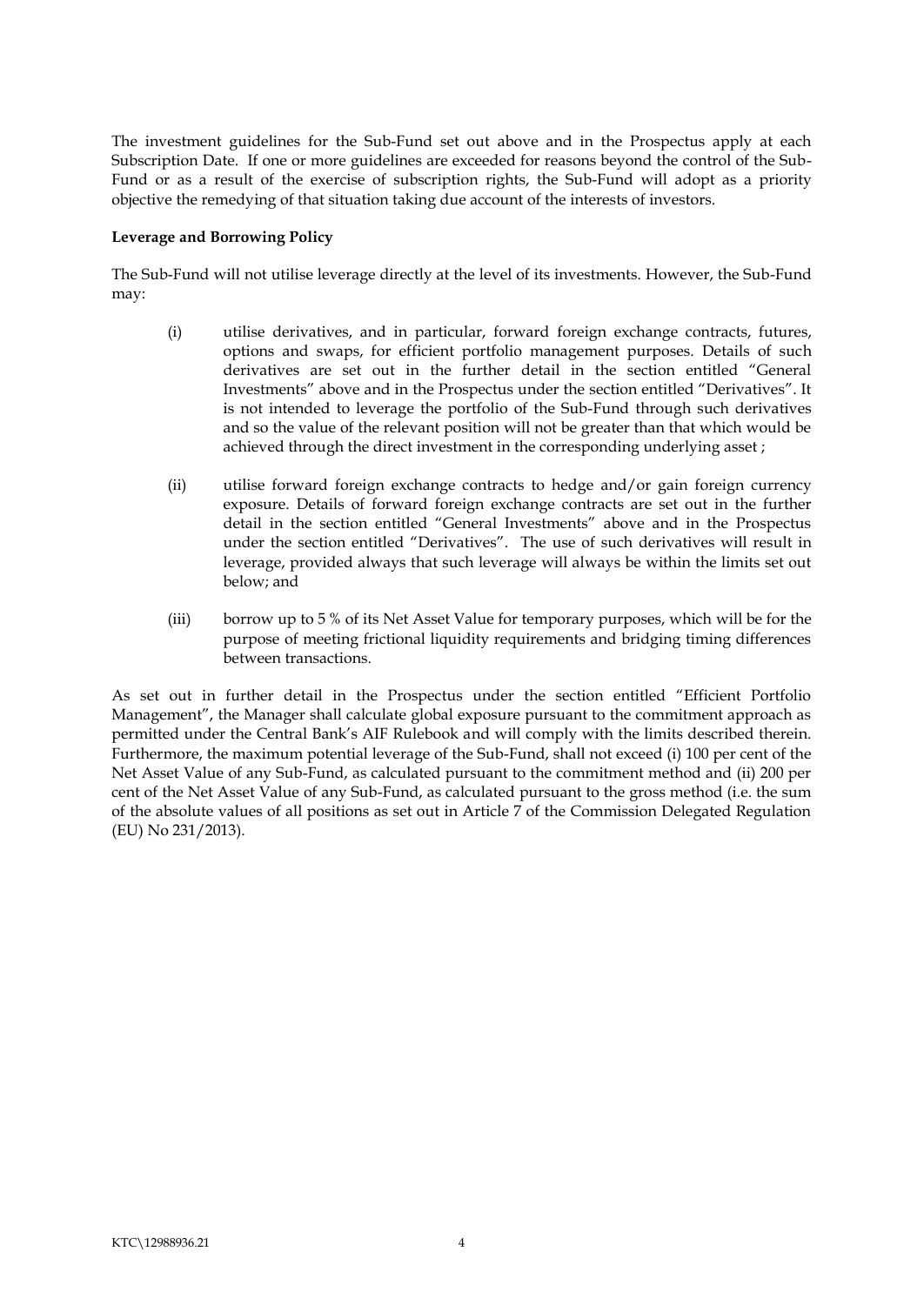The investment guidelines for the Sub-Fund set out above and in the Prospectus apply at each Subscription Date. If one or more guidelines are exceeded for reasons beyond the control of the Sub-Fund or as a result of the exercise of subscription rights, the Sub-Fund will adopt as a priority objective the remedying of that situation taking due account of the interests of investors.

#### **Leverage and Borrowing Policy**

The Sub-Fund will not utilise leverage directly at the level of its investments. However, the Sub-Fund may:

- <span id="page-6-0"></span>(i) utilise derivatives, and in particular, forward foreign exchange contracts, futures, options and swaps, for efficient portfolio management purposes. Details of such derivatives are set out in the further detail in the section entitled "General Investments" above and in the Prospectus under the section entitled "Derivatives". It is not intended to leverage the portfolio of the Sub-Fund through such derivatives and so the value of the relevant position will not be greater than that which would be achieved through the direct investment in the corresponding underlying asset ;
- (ii) utilise forward foreign exchange contracts to hedge and/or gain foreign currency exposure. Details of forward foreign exchange contracts are set out in the further detail in the section entitled "General Investments" above and in the Prospectus under the section entitled "Derivatives". The use of such derivatives will result in leverage, provided always that such leverage will always be within the limits set out below; and
- (iii) borrow up to 5 % of its Net Asset Value for temporary purposes, which will be for the purpose of meeting frictional liquidity requirements and bridging timing differences between transactions.

As set out in further detail in the Prospectus under the section entitled "Efficient Portfolio Management", the Manager shall calculate global exposure pursuant to the commitment approach as permitted under the Central Bank's AIF Rulebook and will comply with the limits described therein. Furthermore, the maximum potential leverage of the Sub-Fund, shall not exceed (i) 100 per cent of the Net Asset Value of any Sub-Fund, as calculated pursuant to the commitment method and (ii) 200 per cent of the Net Asset Value of any Sub-Fund, as calculated pursuant to the gross method (i.e. the sum of the absolute values of all positions as set out in Article 7 of the Commission Delegated Regulation (EU) No 231/2013).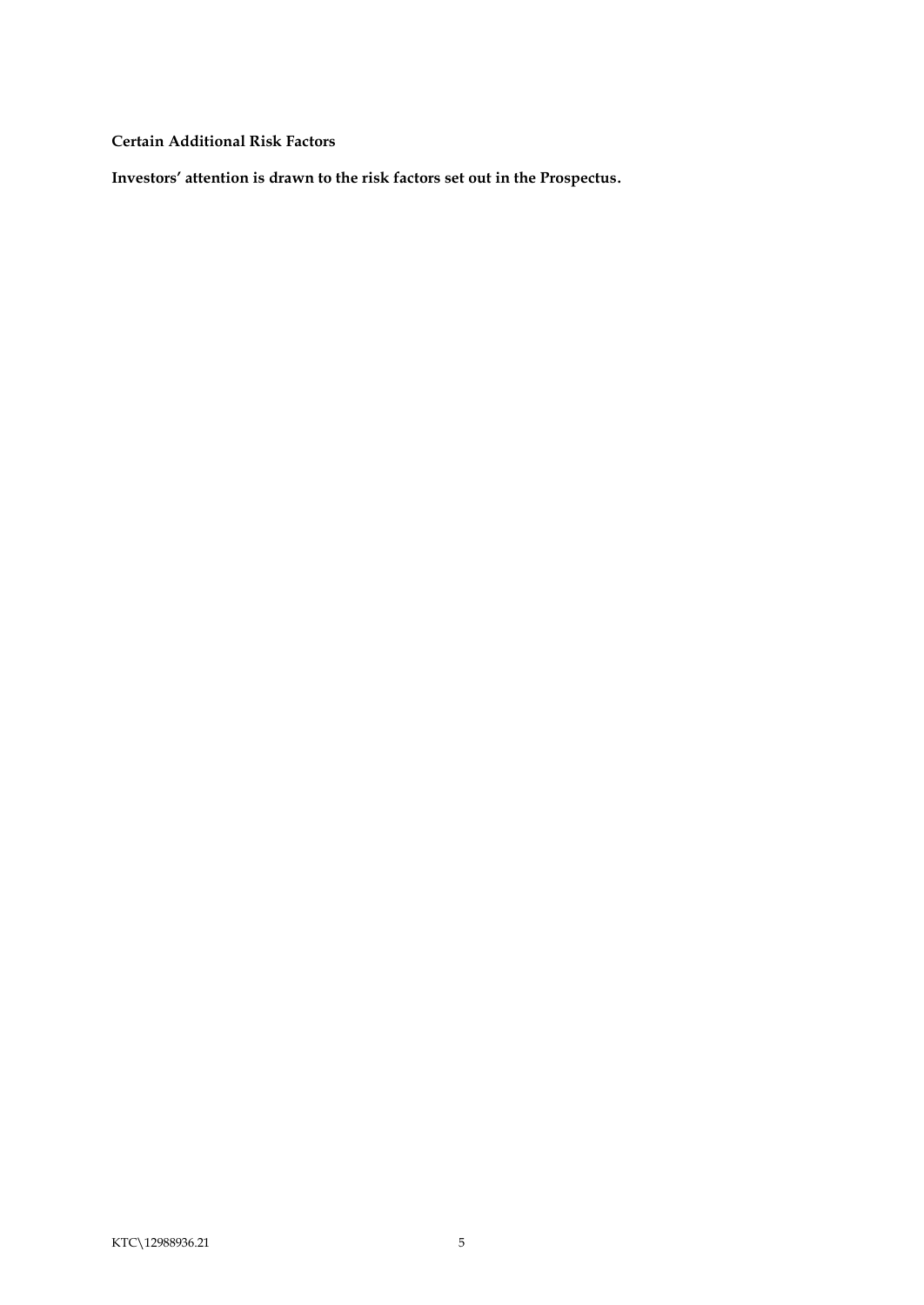<span id="page-7-0"></span>**Certain Additional Risk Factors**

**Investors' attention is drawn to the risk factors set out in the Prospectus.**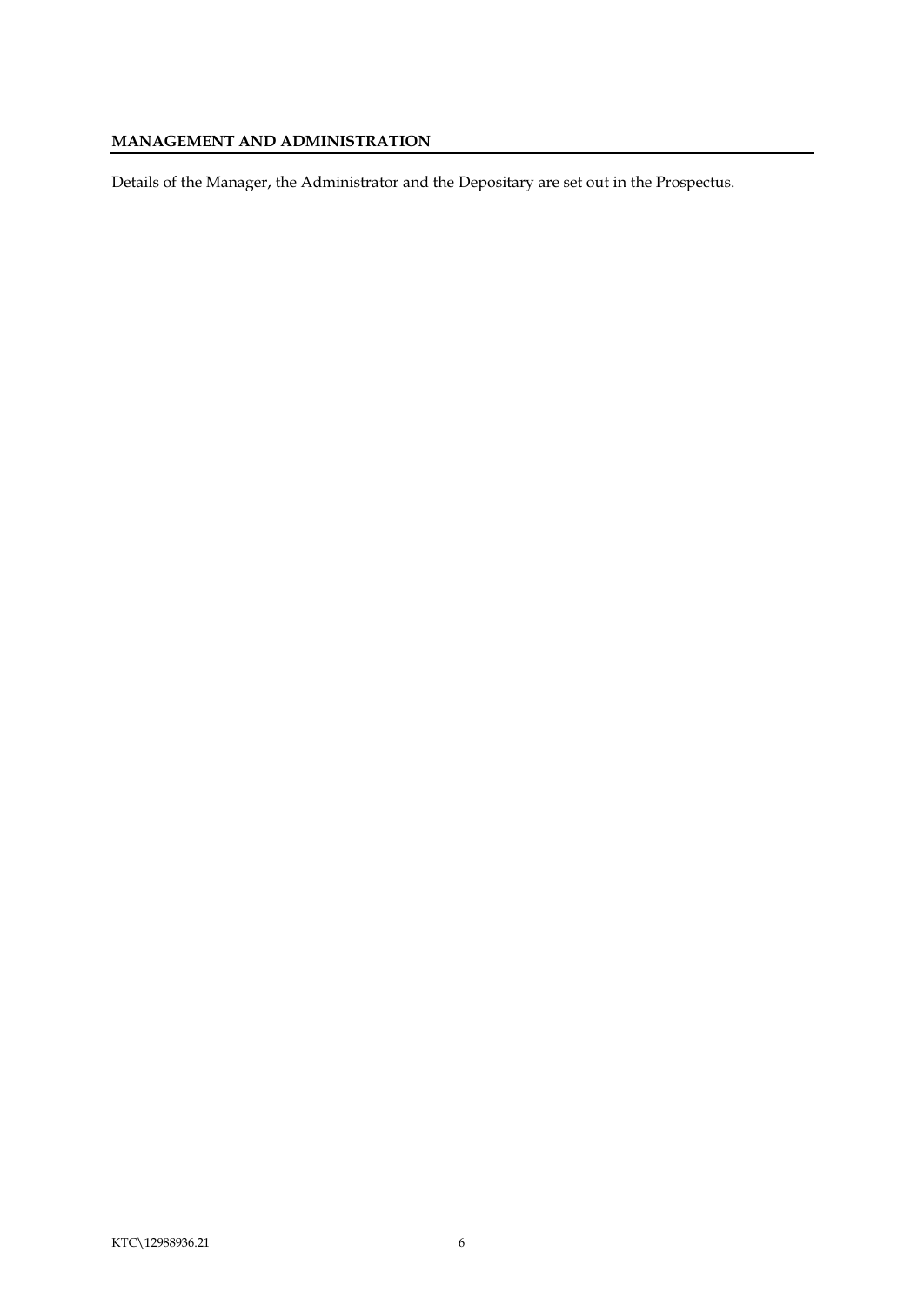# <span id="page-8-0"></span>**MANAGEMENT AND ADMINISTRATION**

Details of the Manager, the Administrator and the Depositary are set out in the Prospectus.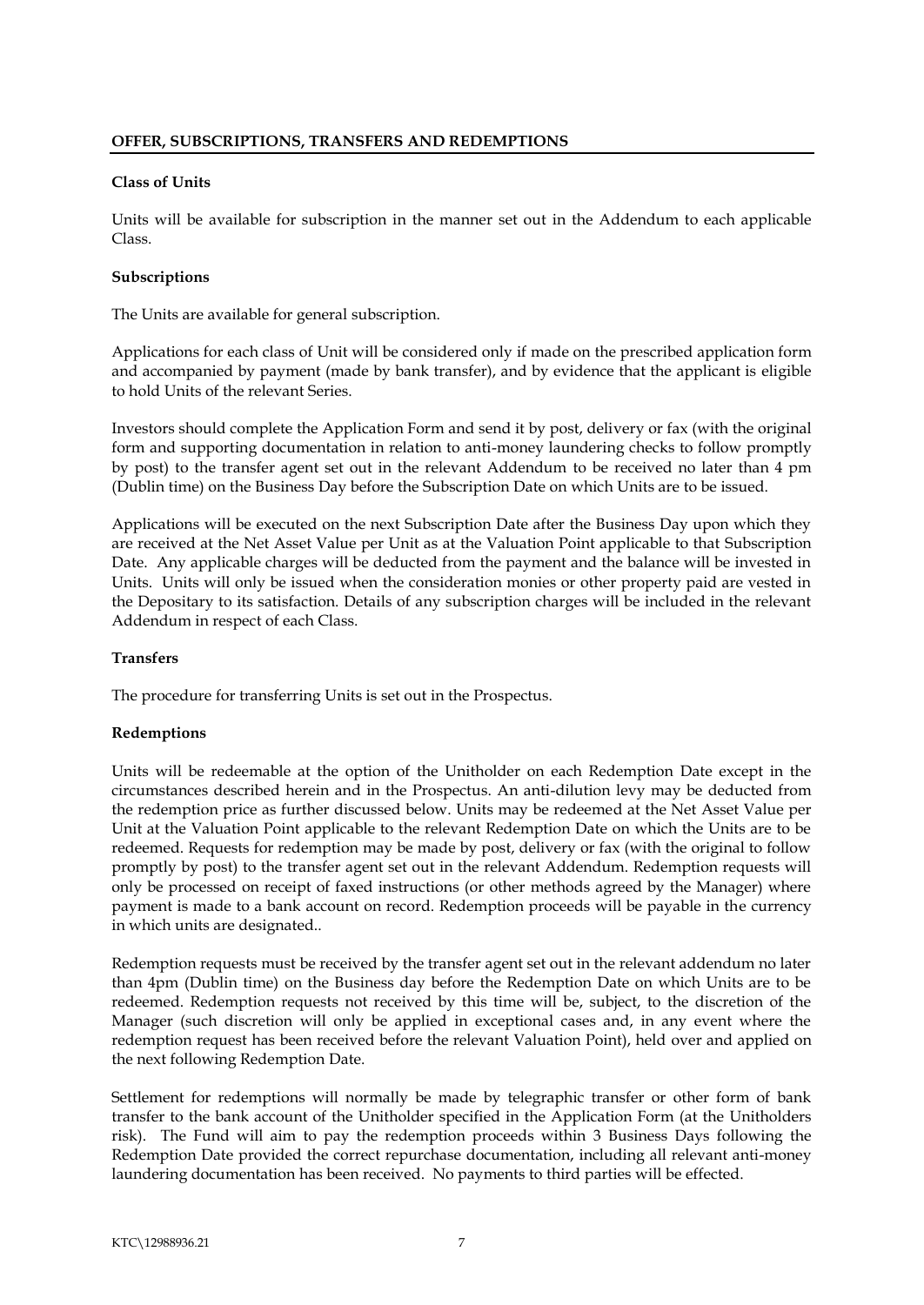#### <span id="page-9-1"></span><span id="page-9-0"></span>**Class of Units**

Units will be available for subscription in the manner set out in the Addendum to each applicable Class.

# <span id="page-9-2"></span>**Subscriptions**

The Units are available for general subscription.

Applications for each class of Unit will be considered only if made on the prescribed application form and accompanied by payment (made by bank transfer), and by evidence that the applicant is eligible to hold Units of the relevant Series.

Investors should complete the Application Form and send it by post, delivery or fax (with the original form and supporting documentation in relation to anti-money laundering checks to follow promptly by post) to the transfer agent set out in the relevant Addendum to be received no later than 4 pm (Dublin time) on the Business Day before the Subscription Date on which Units are to be issued.

Applications will be executed on the next Subscription Date after the Business Day upon which they are received at the Net Asset Value per Unit as at the Valuation Point applicable to that Subscription Date. Any applicable charges will be deducted from the payment and the balance will be invested in Units. Units will only be issued when the consideration monies or other property paid are vested in the Depositary to its satisfaction. Details of any subscription charges will be included in the relevant Addendum in respect of each Class.

# <span id="page-9-3"></span>**Transfers**

The procedure for transferring Units is set out in the Prospectus.

# <span id="page-9-4"></span>**Redemptions**

Units will be redeemable at the option of the Unitholder on each Redemption Date except in the circumstances described herein and in the Prospectus. An anti-dilution levy may be deducted from the redemption price as further discussed below. Units may be redeemed at the Net Asset Value per Unit at the Valuation Point applicable to the relevant Redemption Date on which the Units are to be redeemed. Requests for redemption may be made by post, delivery or fax (with the original to follow promptly by post) to the transfer agent set out in the relevant Addendum. Redemption requests will only be processed on receipt of faxed instructions (or other methods agreed by the Manager) where payment is made to a bank account on record. Redemption proceeds will be payable in the currency in which units are designated..

Redemption requests must be received by the transfer agent set out in the relevant addendum no later than 4pm (Dublin time) on the Business day before the Redemption Date on which Units are to be redeemed. Redemption requests not received by this time will be, subject, to the discretion of the Manager (such discretion will only be applied in exceptional cases and, in any event where the redemption request has been received before the relevant Valuation Point), held over and applied on the next following Redemption Date.

Settlement for redemptions will normally be made by telegraphic transfer or other form of bank transfer to the bank account of the Unitholder specified in the Application Form (at the Unitholders risk). The Fund will aim to pay the redemption proceeds within 3 Business Days following the Redemption Date provided the correct repurchase documentation, including all relevant anti-money laundering documentation has been received. No payments to third parties will be effected.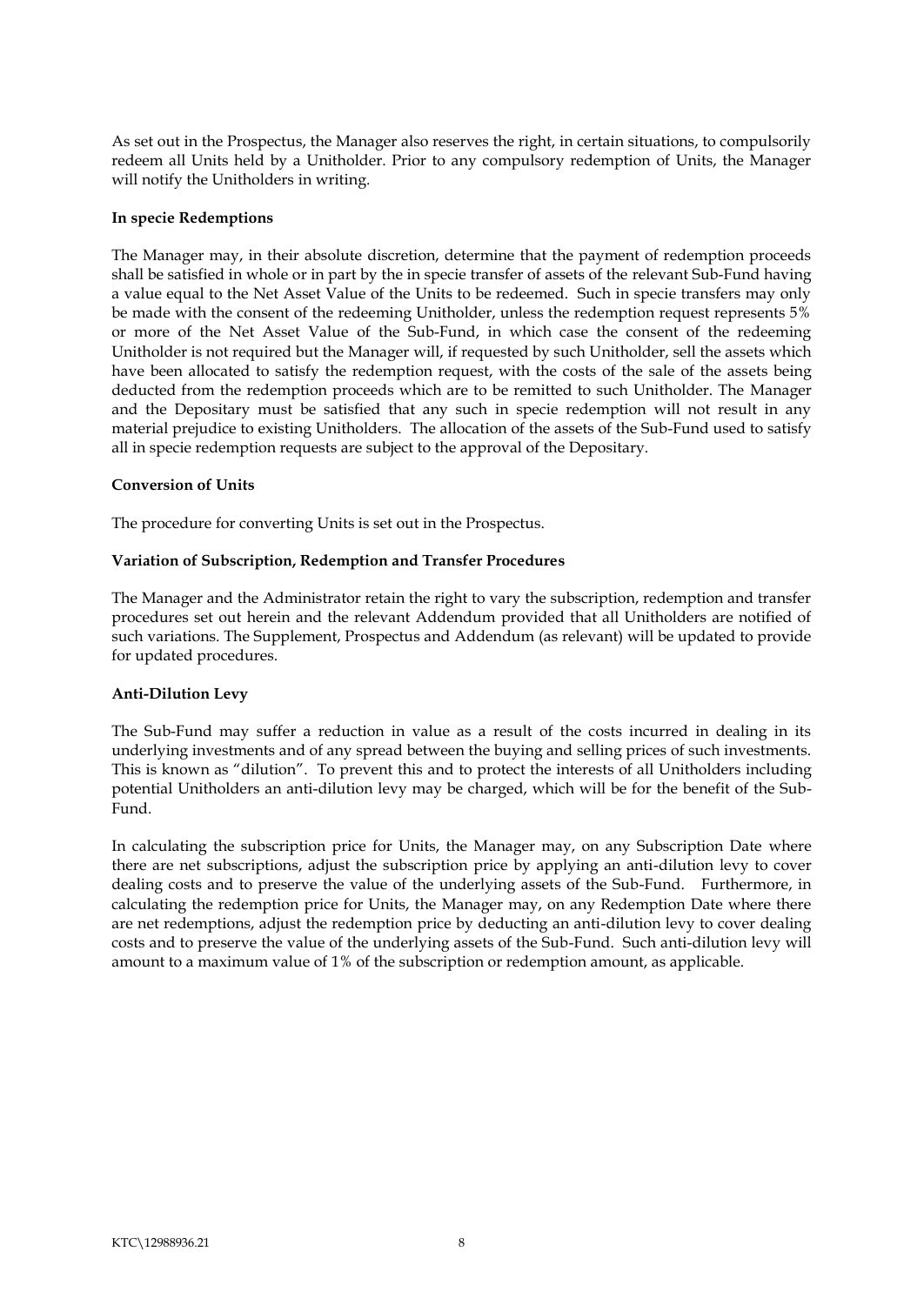As set out in the Prospectus, the Manager also reserves the right, in certain situations, to compulsorily redeem all Units held by a Unitholder. Prior to any compulsory redemption of Units, the Manager will notify the Unitholders in writing.

#### <span id="page-10-0"></span>**In specie Redemptions**

The Manager may, in their absolute discretion, determine that the payment of redemption proceeds shall be satisfied in whole or in part by the in specie transfer of assets of the relevant Sub-Fund having a value equal to the Net Asset Value of the Units to be redeemed. Such in specie transfers may only be made with the consent of the redeeming Unitholder, unless the redemption request represents 5% or more of the Net Asset Value of the Sub-Fund, in which case the consent of the redeeming Unitholder is not required but the Manager will, if requested by such Unitholder, sell the assets which have been allocated to satisfy the redemption request, with the costs of the sale of the assets being deducted from the redemption proceeds which are to be remitted to such Unitholder. The Manager and the Depositary must be satisfied that any such in specie redemption will not result in any material prejudice to existing Unitholders. The allocation of the assets of the Sub-Fund used to satisfy all in specie redemption requests are subject to the approval of the Depositary.

# <span id="page-10-1"></span>**Conversion of Units**

The procedure for converting Units is set out in the Prospectus.

#### <span id="page-10-2"></span>**Variation of Subscription, Redemption and Transfer Procedures**

The Manager and the Administrator retain the right to vary the subscription, redemption and transfer procedures set out herein and the relevant Addendum provided that all Unitholders are notified of such variations. The Supplement, Prospectus and Addendum (as relevant) will be updated to provide for updated procedures.

#### <span id="page-10-3"></span>**Anti-Dilution Levy**

The Sub-Fund may suffer a reduction in value as a result of the costs incurred in dealing in its underlying investments and of any spread between the buying and selling prices of such investments. This is known as "dilution". To prevent this and to protect the interests of all Unitholders including potential Unitholders an anti-dilution levy may be charged, which will be for the benefit of the Sub-Fund.

In calculating the subscription price for Units, the Manager may, on any Subscription Date where there are net subscriptions, adjust the subscription price by applying an anti-dilution levy to cover dealing costs and to preserve the value of the underlying assets of the Sub-Fund. Furthermore, in calculating the redemption price for Units, the Manager may, on any Redemption Date where there are net redemptions, adjust the redemption price by deducting an anti-dilution levy to cover dealing costs and to preserve the value of the underlying assets of the Sub-Fund. Such anti-dilution levy will amount to a maximum value of 1% of the subscription or redemption amount, as applicable.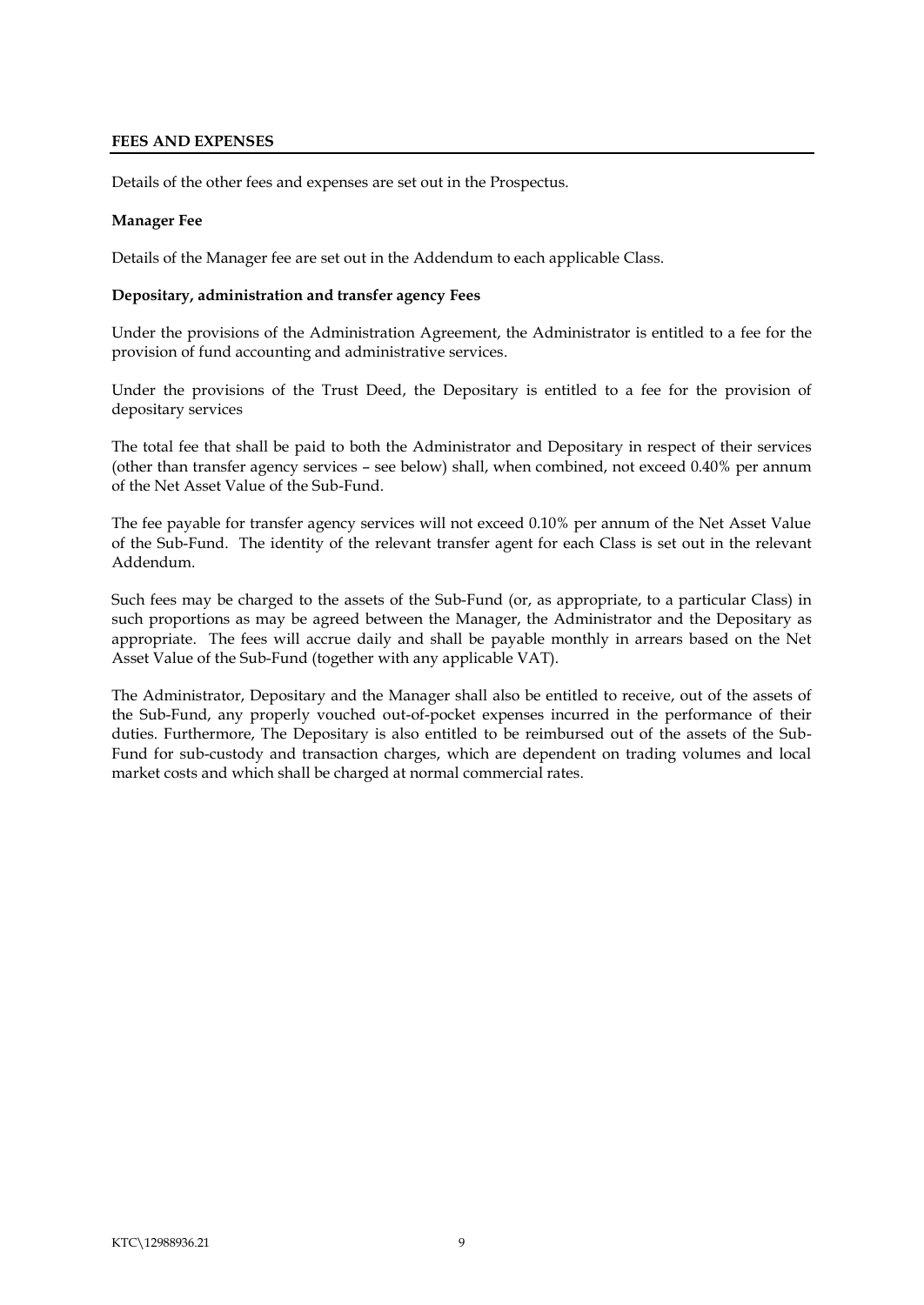# <span id="page-11-0"></span>**FEES AND EXPENSES**

Details of the other fees and expenses are set out in the Prospectus.

# **Manager Fee**

Details of the Manager fee are set out in the Addendum to each applicable Class.

#### <span id="page-11-1"></span>**Depositary, administration and transfer agency Fees**

Under the provisions of the Administration Agreement, the Administrator is entitled to a fee for the provision of fund accounting and administrative services.

Under the provisions of the Trust Deed, the Depositary is entitled to a fee for the provision of depositary services

The total fee that shall be paid to both the Administrator and Depositary in respect of their services (other than transfer agency services – see below) shall, when combined, not exceed 0.40% per annum of the Net Asset Value of the Sub-Fund.

The fee payable for transfer agency services will not exceed 0.10% per annum of the Net Asset Value of the Sub-Fund. The identity of the relevant transfer agent for each Class is set out in the relevant Addendum.

Such fees may be charged to the assets of the Sub-Fund (or, as appropriate, to a particular Class) in such proportions as may be agreed between the Manager, the Administrator and the Depositary as appropriate. The fees will accrue daily and shall be payable monthly in arrears based on the Net Asset Value of the Sub-Fund (together with any applicable VAT).

The Administrator, Depositary and the Manager shall also be entitled to receive, out of the assets of the Sub-Fund, any properly vouched out-of-pocket expenses incurred in the performance of their duties. Furthermore, The Depositary is also entitled to be reimbursed out of the assets of the Sub-Fund for sub-custody and transaction charges, which are dependent on trading volumes and local market costs and which shall be charged at normal commercial rates.